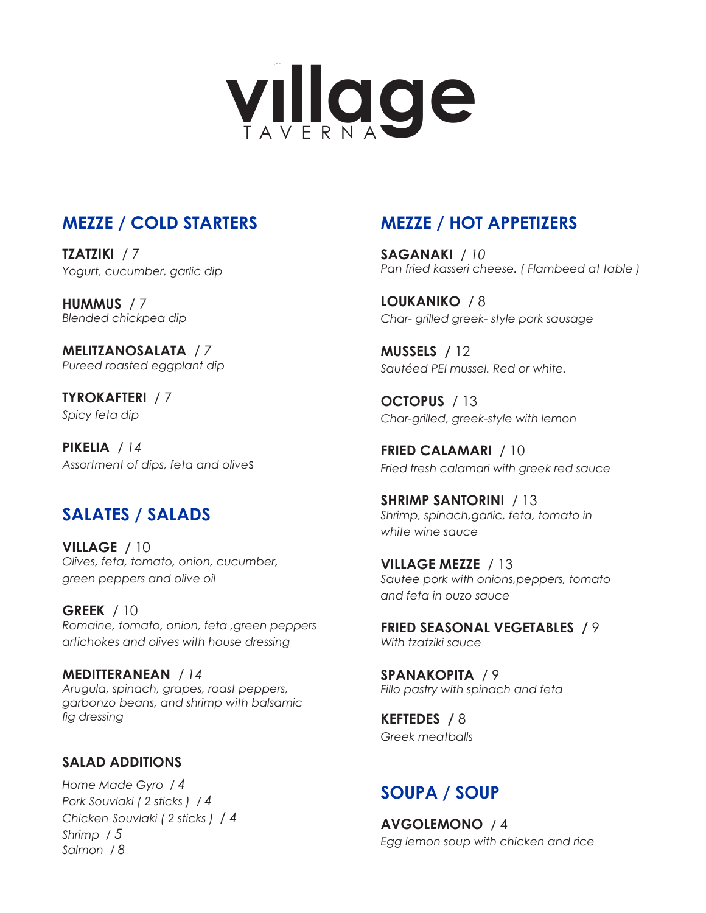

# **MEZZE / COLD STARTERS**

**TZATZIKI** / 7 *Yogurt, cucumber, garlic dip*

**HUMMUS** / 7 *Blended chickpea dip*

**MELITZANOSALATA** / *7 Pureed roasted eggplant dip*

**TYROKAFTERI** / 7 *Spicy feta dip*

**PIKELIA** / *14 Assortment of dips, feta and olive*s

## **SALATES / SALADS**

**VILLAGE /** 10 *Olives, feta, tomato, onion, cucumber, green peppers and olive oil*

**GREEK** / 10 *Romaine, tomato, onion, feta ,green peppers artichokes and olives with house dressing*

**MEDITTERANEAN** / *14 Arugula, spinach, grapes, roast peppers, garbonzo beans, and shrimp with balsamic fig dressing*

#### **SALAD ADDITIONS**

*Home Made Gyro / 4 Pork Souvlaki ( 2 sticks ) / 4 Chicken Souvlaki ( 2 sticks ) / 4 Shrimp / 5 Salmon / 8* 

# **MEZZE / HOT APPETIZERS**

**SAGANAKI** / *10 Pan fried kasseri cheese. ( Flambeed at table )*

**LOUKANIKO** / 8 *Char- grilled greek- style pork sausage*

**MUSSELS /** 12 *Sautéed PEI mussel. Red or white.*

**OCTOPUS** / 13 *Char-grilled, greek-style with lemon*

**FRIED CALAMARI** / 10 *Fried fresh calamari with greek red sauce*

**SHRIMP SANTORINI** / 13 *Shrimp, spinach,garlic, feta, tomato in white wine sauce*

**VILLAGE MEZZE** / 13 *Sautee pork with onions,peppers, tomato and feta in ouzo sauce*

**FRIED SEASONAL VEGETABLES /** 9 *With tzatziki sauce*

**SPANAKOPITA** / 9 *Fillo pastry with spinach and feta*

**KEFTEDES /** 8 *Greek meatballs*

### **SOUPA / SOUP**

**AVGOLEMONO /** 4 *Egg lemon soup with chicken and rice*